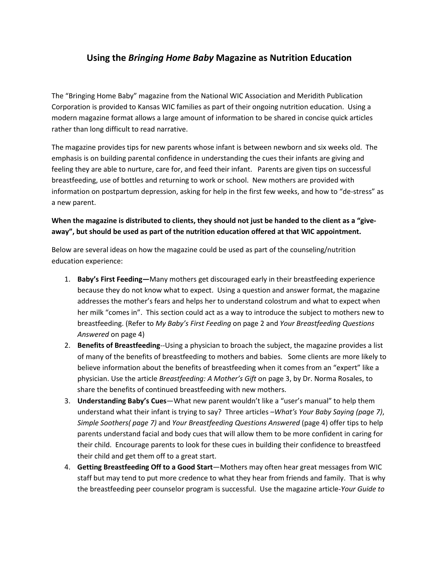## **Using the** *Bringing Home Baby* **Magazine as Nutrition Education**

The "Bringing Home Baby" magazine from the National WIC Association and Meridith Publication Corporation is provided to Kansas WIC families as part of their ongoing nutrition education. Using a modern magazine format allows a large amount of information to be shared in concise quick articles rather than long difficult to read narrative.

The magazine provides tips for new parents whose infant is between newborn and six weeks old. The emphasis is on building parental confidence in understanding the cues their infants are giving and feeling they are able to nurture, care for, and feed their infant. Parents are given tips on successful breastfeeding, use of bottles and returning to work or school. New mothers are provided with information on postpartum depression, asking for help in the first few weeks, and how to "de-stress" as a new parent.

## **When the magazine is distributed to clients, they should not just be handed to the client as a "giveaway", but should be used as part of the nutrition education offered at that WIC appointment.**

Below are several ideas on how the magazine could be used as part of the counseling/nutrition education experience:

- 1. **Baby's First Feeding—**Many mothers get discouraged early in their breastfeeding experience because they do not know what to expect. Using a question and answer format, the magazine addresses the mother's fears and helps her to understand colostrum and what to expect when her milk "comes in". This section could act as a way to introduce the subject to mothers new to breastfeeding. (Refer to *My Baby's First Feeding* on page 2 and *Your Breastfeeding Questions Answered* on page 4)
- 2. **Benefits of Breastfeeding**--Using a physician to broach the subject, the magazine provides a list of many of the benefits of breastfeeding to mothers and babies. Some clients are more likely to believe information about the benefits of breastfeeding when it comes from an "expert" like a physician. Use the article *Breastfeeding: A Mother's Gift* on page 3, by Dr. Norma Rosales, to share the benefits of continued breastfeeding with new mothers.
- 3. **Understanding Baby's Cues**—What new parent wouldn't like a "user's manual" to help them understand what their infant is trying to say? Three articles –*What's Your Baby Saying (page 7)*, *Simple Soothers( page 7)* and *Your Breastfeeding Questions Answered* (page 4) offer tips to help parents understand facial and body cues that will allow them to be more confident in caring for their child. Encourage parents to look for these cues in building their confidence to breastfeed their child and get them off to a great start.
- 4. **Getting Breastfeeding Off to a Good Start**—Mothers may often hear great messages from WIC staff but may tend to put more credence to what they hear from friends and family. That is why the breastfeeding peer counselor program is successful. Use the magazine article-*Your Guide to*